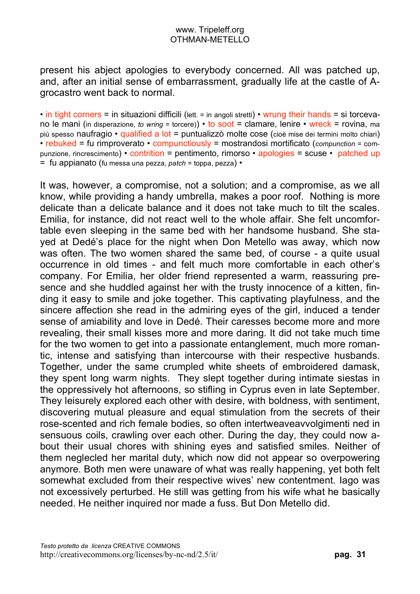present his abject apologies to everybody concerned. All was patched up, and, after an initial sense of embarrassment, gradually life at the castle of Agrocastro went back to normal.

• in tight corners = in situazioni difficili (lett. = in angoli stretti) • wrung their hands = si torcevano le mani (in disperazione, *to wring* = torcere)) • to soot = clamare, lenire • wreck = rovina, ma più spesso naufragio • qualified a lot = puntualizzò molte cose (cioè mise dei termini molto chiari) • rebuked = fu rimproverato • compunctiously = mostrandosi mortificato (*compunction* = compunzione, rincrescimento) • contrition = pentimento, rimorso • apologies = scuse • patched up = fu appianato (fu messa una pezza, *patch* = toppa, pezza) •

It was, however, a compromise, not a solution; and a compromise, as we all know, while providing a handy umbrella, makes a poor roof. Nothing is more delicate than a delicate balance and it does not take much to tilt the scales. Emilia, for instance, did not react well to the whole affair. She felt uncomfortable even sleeping in the same bed with her handsome husband. She stayed at Dedé's place for the night when Don Metello was away, which now was often. The two women shared the same bed, of course - a quite usual occurrence in old times - and felt much more comfortable in each other's company. For Emilia, her older friend represented a warm, reassuring presence and she huddled against her with the trusty innocence of a kitten, finding it easy to smile and joke together. This captivating playfulness, and the sincere affection she read in the admiring eyes of the girl, induced a tender sense of amiability and love in Dedé. Their caresses become more and more revealing, their small kisses more and more daring. It did not take much time for the two women to get into a passionate entanglement, much more romantic, intense and satisfying than intercourse with their respective husbands. Together, under the same crumpled white sheets of embroidered damask, they spent long warm nights. They slept together during intimate siestas in the oppressively hot afternoons, so stifling in Cyprus even in late September. They leisurely explored each other with desire, with boldness, with sentiment, discovering mutual pleasure and equal stimulation from the secrets of their rose-scented and rich female bodies, so often intertweaveavvolgimenti ned in sensuous coils, crawling over each other. During the day, they could now about their usual chores with shining eyes and satisfied smiles. Neither of them neglecled her marital duty, which now did not appear so overpowering anymore. Both men were unaware of what was really happening, yet both felt somewhat excluded from their respective wives' new contentment. Iago was not excessively perturbed. He still was getting from his wife what he basically needed. He neither inquired nor made a fuss. But Don Metello did.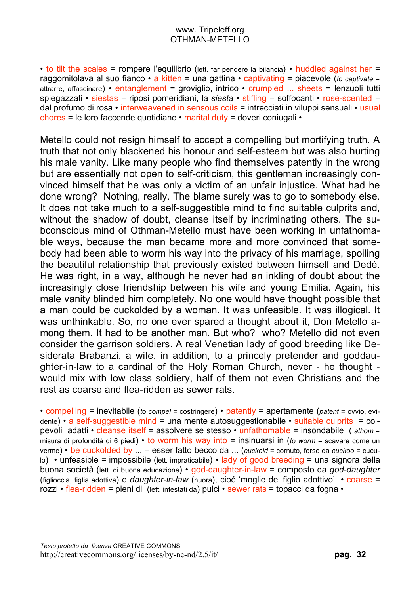• to tilt the scales = rompere l'equilibrio (lett. far pendere la bilancia) • huddled against her = raggomitolava al suo fianco • a kitten = una gattina • captivating = piacevole (*to captivate* = attrarre, affascinare) • entanglement = groviglio, intrico • crumpled ... sheets = lenzuoli tutti spiegazzati • siestas = riposi pomeridiani, la *siesta* • stifling = soffocanti • rose-scented = dal profumo di rosa • interweavened in sensous coils = intrecciati in viluppi sensuali • usual chores = le loro faccende quotidiane • marital duty = doveri coniugali •

Metello could not resign himself to accept a compelling but mortifying truth. A truth that not only blackened his honour and self-esteem but was also hurting his male vanity. Like many people who find themselves patently in the wrong but are essentially not open to self-criticism, this gentleman increasingly convinced himself that he was only a victim of an unfair injustice. What had he done wrong? Nothing, really. The blame surely was to go to somebody else. It does not take much to a self-suggestible mind to find suitable culprits and, without the shadow of doubt, cleanse itself by incriminating others. The subconscious mind of Othman-Metello must have been working in unfathomable ways, because the man became more and more convinced that somebody had been able to worm his way into the privacy of his marriage, spoiling the beautiful relationship that previously existed between himself and Dedé. He was right, in a way, although he never had an inkling of doubt about the increasingly close friendship between his wife and young Emilia. Again, his male vanity blinded him completely. No one would have thought possible that a man could be cuckolded by a woman. It was unfeasible. It was illogical. It was unthinkable. So, no one ever spared a thought about it, Don Metello among them. It had to be another man. But who? who? Metello did not even consider the garrison soldiers. A real Venetian lady of good breeding like Desiderata Brabanzi, a wife, in addition, to a princely pretender and goddaughter-in-law to a cardinal of the Holy Roman Church, never - he thought would mix with low class soldiery, half of them not even Christians and the rest as coarse and flea-ridden as sewer rats.

• compelling = inevitabile (*to compel* = costringere) • patently = apertamente (*patent* = ovvio, evi- $\theta$  = a self-suggestible mind = una mente autosuggestionabile • suitable culprits = colpevoli adatti • cleanse itself = assolvere se stesso • unfathomable = insondabile ( *athom* = misura di profondità di 6 piedi) • to worm his way into = insinuarsi in (*to worm* = scavare come un verme) • be cuckolded by ... = esser fatto becco da ... (*cuckold* = cornuto, forse da *cuckoo* = cuculo) • unfeasible = impossibile (lett. impraticabile) • lady of good breeding = una signora della buona società (lett. di buona educazione) • god-daughter-in-law = composto da *god-daughter* (figlioccia, figlia adottiva) e *daughter-in-law* (nuora), cioé 'moglie del figlio adottivo' • coarse = rozzi • flea-ridden = pieni di (lett. infestati da) pulci • sewer rats = topacci da fogna •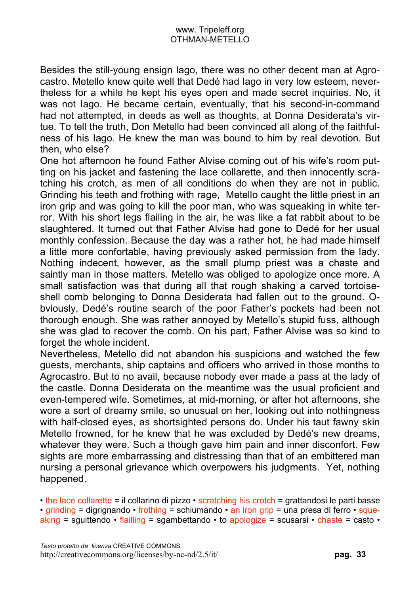Besides the still-young ensign Iago, there was no other decent man at Agrocastro. Metello knew quite well that Dedé had Iago in very low esteem, nevertheless for a while he kept his eyes open and made secret inquiries. No, it was not Iago. He became certain, eventually, that his second-in-command had not attempted, in deeds as well as thoughts, at Donna Desiderata's virtue. To tell the truth, Don Metello had been convinced all along of the faithfulness of his Iago. He knew the man was bound to him by real devotion. But then, who else?

One hot afternoon he found Father Alvise coming out of his wife's room putting on his jacket and fastening the lace collarette, and then innocently scratching his crotch, as men of all conditions do when they are not in public. Grinding his teeth and frothing with rage, Metello caught the little priest in an iron grip and was going to kill the poor man, who was squeaking in white terror. With his short legs flailing in the air, he was like a fat rabbit about to be slaughtered. It turned out that Father Alvise had gone to Dedé for her usual monthly confession. Because the day was a rather hot, he had made himself a little more confortable, having previously asked permission from the lady. Nothing indecent, however, as the small plump priest was a chaste and saintly man in those matters. Metello was obliged to apologize once more. A small satisfaction was that during all that rough shaking a carved tortoiseshell comb belonging to Donna Desiderata had fallen out to the ground. Obviously, Dedé's routine search of the poor Father's pockets had been not thorough enough. She was rather annoyed by Metello's stupid fuss, although she was glad to recover the comb. On his part, Father Alvise was so kind to forget the whole incident.

Nevertheless, Metello did not abandon his suspicions and watched the few guests, merchants, ship captains and officers who arrived in those months to Agrocastro. But to no avail, because nobody ever made a pass at the lady of the castle. Donna Desiderata on the meantime was the usual proficient and even-tempered wife. Sometimes, at mid-morning, or after hot afternoons, she wore a sort of dreamy smile, so unusual on her, looking out into nothingness with half-closed eyes, as shortsighted persons do. Under his taut fawny skin Metello frowned, for he knew that he was excluded by Dedé's new dreams, whatever they were. Such a though gave him pain and inner disconfort. Few sights are more embarrassing and distressing than that of an embittered man nursing a personal grievance which overpowers his judgments. Yet, nothing happened.

• the lace collarette = il collarino di pizzo • scratching his crotch = grattandosi le parti basse • grinding = digrignando • frothing = schiumando • an iron grip = una presa di ferro • squeaking = squittendo  $\cdot$  flailling = sgambettando  $\cdot$  to apologize = scusarsi  $\cdot$  chaste = casto  $\cdot$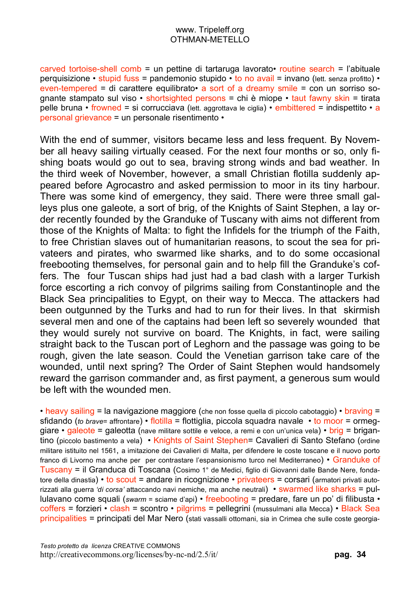carved tortoise-shell comb = un pettine di tartaruga lavorato• routine search = l'abituale perquisizione • stupid fuss = pandemonio stupido • to no avail = invano (lett. senza profitto) • even-tempered = di carattere equilibrato a sort of a dreamy smile = con un sorriso sognante stampato sul viso  $\cdot$  shortsighted persons = chi è miope  $\cdot$  taut fawny skin = tirata pelle bruna • frowned = si corrucciava (lett. aggrottava le ciglia) • embittered = indispettito • a personal grievance = un personale risentimento •

With the end of summer, visitors became less and less frequent. By November all heavy sailing virtually ceased. For the next four months or so, only fishing boats would go out to sea, braving strong winds and bad weather. In the third week of November, however, a small Christian flotilla suddenly appeared before Agrocastro and asked permission to moor in its tiny harbour. There was some kind of emergency, they said. There were three small galleys plus one galeote, a sort of brig, of the Knights of Saint Stephen, a lay order recently founded by the Granduke of Tuscany with aims not different from those of the Knights of Malta: to fight the Infidels for the triumph of the Faith, to free Christian slaves out of humanitarian reasons, to scout the sea for privateers and pirates, who swarmed like sharks, and to do some occasional freebooting themselves, for personal gain and to help fill the Granduke's coffers. The four Tuscan ships had just had a bad clash with a larger Turkish force escorting a rich convoy of pilgrims sailing from Constantinople and the Black Sea principalities to Egypt, on their way to Mecca. The attackers had been outgunned by the Turks and had to run for their lives. In that skirmish several men and one of the captains had been left so severely wounded that they would surely not survive on board. The Knights, in fact, were sailing straight back to the Tuscan port of Leghorn and the passage was going to be rough, given the late season. Could the Venetian garrison take care of the wounded, until next spring? The Order of Saint Stephen would handsomely reward the garrison commander and, as first payment, a generous sum would be left with the wounded men.

• heavy sailing = la navigazione maggiore (che non fosse quella di piccolo cabotaggio) • braving = sfidando (*to brave*= affrontare) • flotilla = flottiglia, piccola squadra navale • to moor = ormeggiare • galeote = galeotta (nave militare sottile e veloce, a remi e con un'unica vela) • brig = brigantino (piccolo bastimento a vela) • Knights of Saint Stephen= Cavalieri di Santo Stefano (ordine militare istituito nel 1561, a imitazione dei Cavalieri di Malta, per difendere le coste toscane e il nuovo porto franco di Livorno ma anche per per contrastare l'espansionismo turco nel Mediterraneo) • Granduke of Tuscany = il Granduca di Toscana (Cosimo 1° de Medici, figlio di Giovanni dalle Bande Nere, fondatore della dinastia) • to scout = andare in ricognizione • privateers = corsari (armatori privati autorizzati alla guerra *'di corsa'* attaccando navi nemiche, ma anche neutrali) • swarmed like sharks = pullulavano come squali (*swarm* = sciame d'api) • freebooting = predare, fare un po' di filibusta • coffers = forzieri • clash = scontro • pilgrims = pellegrini (mussulmani alla Mecca) • Black Sea principalities = principati del Mar Nero (stati vassalli ottomani, sia in Crimea che sulle coste georgia-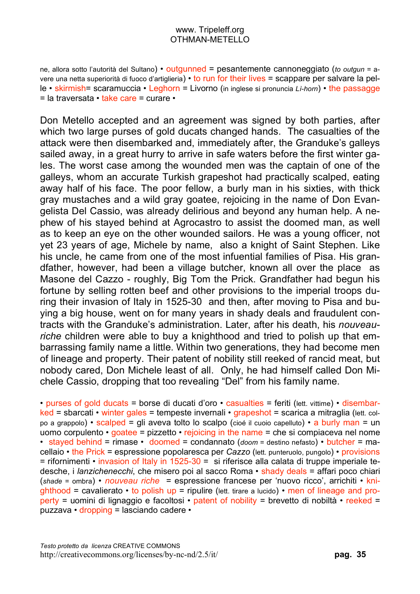ne, allora sotto l'autorità del Sultano) • outgunned = pesantemente cannoneggiato (*to outgun* = avere una netta superiorità di fuoco d'artiglieria) • to run for their lives = scappare per salvare la pelle • skirmish= scaramuccia • Leghorn = Livorno (in inglese si pronuncia *Lì-horn*) • the passagge = la traversata • take care = curare •

Don Metello accepted and an agreement was signed by both parties, after which two large purses of gold ducats changed hands. The casualties of the attack were then disembarked and, immediately after, the Granduke's galleys sailed away, in a great hurry to arrive in safe waters before the first winter gales. The worst case among the wounded men was the captain of one of the galleys, whom an accurate Turkish grapeshot had practically scalped, eating away half of his face. The poor fellow, a burly man in his sixties, with thick gray mustaches and a wild gray goatee, rejoicing in the name of Don Evangelista Del Cassio, was already delirious and beyond any human help. A nephew of his stayed behind at Agrocastro to assist the doomed man, as well as to keep an eye on the other wounded sailors. He was a young officer, not yet 23 years of age, Michele by name, also a knight of Saint Stephen. Like his uncle, he came from one of the most infuential families of Pisa. His grandfather, however, had been a village butcher, known all over the place as Masone del Cazzo - roughly, Big Tom the Prick. Grandfather had begun his fortune by selling rotten beef and other provisions to the imperial troops during their invasion of Italy in 1525-30 and then, after moving to Pisa and buying a big house, went on for many years in shady deals and fraudulent contracts with the Granduke's administration. Later, after his death, his *nouveauriche* children were able to buy a knighthood and tried to polish up that embarrassing family name a little. Within two generations, they had become men of lineage and property. Their patent of nobility still reeked of rancid meat, but nobody cared, Don Michele least of all. Only, he had himself called Don Michele Cassio, dropping that too revealing "Del" from his family name.

• purses of gold ducats = borse di ducati d'oro • casualties = feriti (lett. vittime) • disembarked = sbarcati • winter gales = tempeste invernali • grapeshot = scarica a mitraglia (lett. colpo a grappolo) • scalped = gli aveva tolto lo scalpo (cioé il cuoio capelluto) • a burly man = un uomo corpulento  $\cdot$  goatee = pizzetto  $\cdot$  rejoicing in the name = che si compiaceva nel nome • stayed behind = rimase • doomed = condannato (*doom* = destino nefasto) • butcher = macellaio • the Prick = espressione popolaresca per *Cazzo* (lett. punteruolo, pungolo) • provisions  $=$  rifornimenti  $\cdot$  invasion of Italy in 1525-30 = si riferisce alla calata di truppe imperiale tedesche, i *lanzichenecchi*, che misero poi al sacco Roma • shady deals = affari poco chiari (*shade* = ombra) • *nouveau riche* = espressione francese per 'nuovo ricco', arrichiti • kni- $S$  ahthood = cavalierato  $\cdot$  to polish up = ripulire (lett. tirare a lucido)  $\cdot$  men of lineage and property = uomini di lignaggio e facoltosi • patent of nobility = brevetto di nobiltà • reeked = puzzava • dropping = lasciando cadere •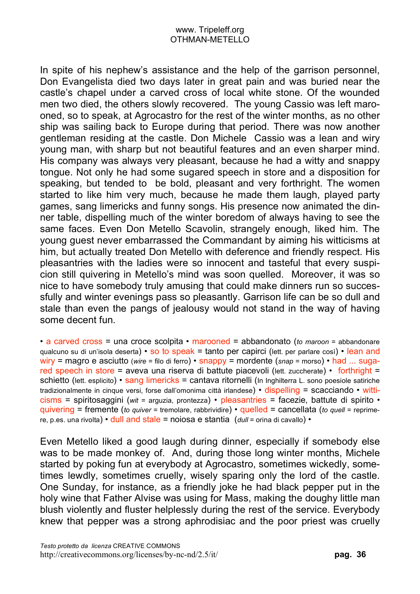In spite of his nephew's assistance and the help of the garrison personnel, Don Evangelista died two days later in great pain and was buried near the castle's chapel under a carved cross of local white stone. Of the wounded men two died, the others slowly recovered. The young Cassio was left marooned, so to speak, at Agrocastro for the rest of the winter months, as no other ship was sailing back to Europe during that period. There was now another gentleman residing at the castle. Don Michele Cassio was a lean and wiry young man, with sharp but not beautiful features and an even sharper mind. His company was always very pleasant, because he had a witty and snappy tongue. Not only he had some sugared speech in store and a disposition for speaking, but tended to be bold, pleasant and very forthright. The women started to like him very much, because he made them laugh, played party games, sang limericks and funny songs. His presence now animated the dinner table, dispelling much of the winter boredom of always having to see the same faces. Even Don Metello Scavolin, strangely enough, liked him. The young guest never embarrassed the Commandant by aiming his witticisms at him, but actually treated Don Metello with deference and friendly respect. His pleasantries with the ladies were so innocent and tasteful that every suspicion still quivering in Metello's mind was soon quelled. Moreover, it was so nice to have somebody truly amusing that could make dinners run so successfully and winter evenings pass so pleasantly. Garrison life can be so dull and stale than even the pangs of jealousy would not stand in the way of having some decent fun.

• a carved cross = una croce scolpita • marooned = abbandonato (*to maroon* = abbandonare qualcuno su di un'isola deserta) • so to speak = tanto per capirci (lett. per parlare così) • lean and wiry = magro e asciutto (*wire* = filo di ferro) • snappy = mordente (*snap* = morso) • had ... sugared speech in store = aveva una riserva di battute piacevoli (lett. zuccherate) • forthright = schietto (lett. esplicito) • sang limericks = cantava ritornelli (In Inghilterra L. sono poesiole satiriche tradizionalmente in cinque versi, forse dall'omonima città irlandese) • dispelling = scacciando • witticisms = spiritosaggini (*wit* = arguzia, prontezza) • pleasantries = facezie, battute di spirito • quivering = fremente (*to quiver* = tremolare, rabbrividire) • quelled = cancellata (*to quell* = reprimere, p.es. una rivolta) • dull and stale = noiosa e stantia (*dull* = orina di cavallo) •

Even Metello liked a good laugh during dinner, especially if somebody else was to be made monkey of. And, during those long winter months, Michele started by poking fun at everybody at Agrocastro, sometimes wickedly, sometimes lewdly, sometimes cruelly, wisely sparing only the lord of the castle. One Sunday, for instance, as a friendly joke he had black pepper put in the holy wine that Father Alvise was using for Mass, making the doughy little man blush violently and fluster helplessly during the rest of the service. Everybody knew that pepper was a strong aphrodisiac and the poor priest was cruelly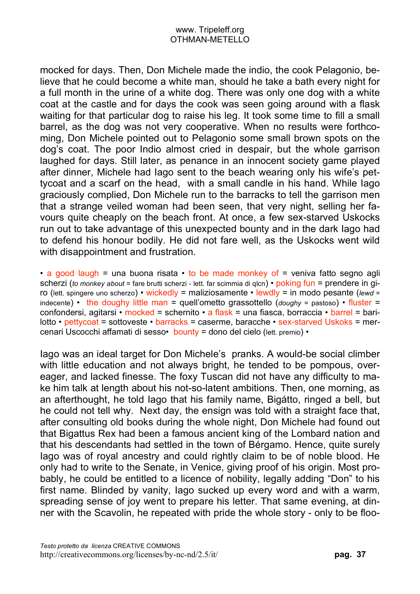mocked for days. Then, Don Michele made the indio, the cook Pelagonio, believe that he could become a white man, should he take a bath every night for a full month in the urine of a white dog. There was only one dog with a white coat at the castle and for days the cook was seen going around with a flask waiting for that particular dog to raise his leg. It took some time to fill a small barrel, as the dog was not very cooperative. When no results were forthcoming, Don Michele pointed out to Pelagonio some small brown spots on the dog's coat. The poor Indio almost cried in despair, but the whole garrison laughed for days. Still later, as penance in an innocent society game played after dinner, Michele had Iago sent to the beach wearing only his wife's pettycoat and a scarf on the head, with a small candle in his hand. While Iago graciously complied, Don Michele run to the barracks to tell the garrison men that a strange veiled woman had been seen, that very night, selling her favours quite cheaply on the beach front. At once, a few sex-starved Uskocks run out to take advantage of this unexpected bounty and in the dark Iago had to defend his honour bodily. He did not fare well, as the Uskocks went wild with disappointment and frustration.

• a good laugh = una buona risata • to be made monkey of = veniva fatto segno agli scherzi (*to monkey about* = fare brutti scherzi - lett. far scimmia di qlcn) • poking fun = prendere in giro (lett. spingere uno scherzo) • wickedly = maliziosamente • lewdly = in modo pesante (*lewd* = indecente) • the doughy little man = quell'ometto grassottello (*doughy* = pastoso) • fluster = confondersi, agitarsi • mocked = schernito • a flask = una fiasca, borraccia • barrel = barilotto • pettycoat = sottoveste • barracks = caserme, baracche • sex-starved Uskoks = mercenari Uscocchi affamati di sesso• bounty = dono del cielo (lett. premio) •

Iago was an ideal target for Don Michele's pranks. A would-be social climber with little education and not always bright, he tended to be pompous, overeager, and lacked finesse. The foxy Tuscan did not have any difficulty to make him talk at length about his not-so-latent ambitions. Then, one morning, as an afterthought, he told Iago that his family name, Bigátto, ringed a bell, but he could not tell why. Next day, the ensign was told with a straight face that, after consulting old books during the whole night, Don Michele had found out that Bigattus Rex had been a famous ancient king of the Lombard nation and that his descendants had settled in the town of Bérgamo. Hence, quite surely Iago was of royal ancestry and could rightly claim to be of noble blood. He only had to write to the Senate, in Venice, giving proof of his origin. Most probably, he could be entitled to a licence of nobility, legally adding "Don" to his first name. Blinded by vanity, Iago sucked up every word and with a warm, spreading sense of joy went to prepare his letter. That same evening, at dinner with the Scavolin, he repeated with pride the whole story - only to be floo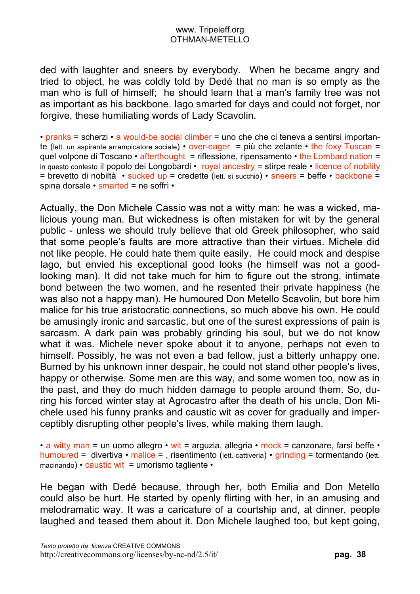ded with laughter and sneers by everybody. When he became angry and tried to object, he was coldly told by Dedé that no man is so empty as the man who is full of himself; he should learn that a man's family tree was not as important as his backbone. Iago smarted for days and could not forget, nor forgive, these humiliating words of Lady Scavolin.

• pranks = scherzi • a would-be social climber = uno che che ci teneva a sentirsi importante (lett. un aspirante arrampicatore sociale) • over-eager = più che zelante • the foxy Tuscan = quel volpone di Toscano • afterthought = riflessione, ripensamento • the Lombard nation = in questo contesto il popolo dei Longobardi • royal ancestry = stirpe reale • licence of nobility = brevetto di nobiltà • sucked up = credette (lett. si succhiò) • sneers = beffe • backbone = spina dorsale • smarted = ne soffrì •

Actually, the Don Michele Cassio was not a witty man: he was a wicked, malicious young man. But wickedness is often mistaken for wit by the general public - unless we should truly believe that old Greek philosopher, who said that some people's faults are more attractive than their virtues. Michele did not like people. He could hate them quite easily. He could mock and despise Iago, but envied his exceptional good looks (he himself was not a goodlooking man). It did not take much for him to figure out the strong, intimate bond between the two women, and he resented their private happiness (he was also not a happy man). He humoured Don Metello Scavolin, but bore him malice for his true aristocratic connections, so much above his own. He could be amusingly ironic and sarcastic, but one of the surest expressions of pain is sarcasm. A dark pain was probably grinding his soul, but we do not know what it was. Michele never spoke about it to anyone, perhaps not even to himself. Possibly, he was not even a bad fellow, just a bitterly unhappy one. Burned by his unknown inner despair, he could not stand other people's lives, happy or otherwise. Some men are this way, and some women too, now as in the past, and they do much hidden damage to people around them. So, during his forced winter stay at Agrocastro after the death of his uncle, Don Michele used his funny pranks and caustic wit as cover for gradually and imperceptibly disrupting other people's lives, while making them laugh.

• a witty man = un uomo allegro • wit = arguzia, allegria • mock = canzonare, farsi beffe • humoured = divertiva • malice = , risentimento (lett. cattiveria) • grinding = tormentando (lett. macinando) • caustic wit = umorismo tagliente •

He began with Dedé because, through her, both Emilia and Don Metello could also be hurt. He started by openly flirting with her, in an amusing and melodramatic way. It was a caricature of a courtship and, at dinner, people laughed and teased them about it. Don Michele laughed too, but kept going,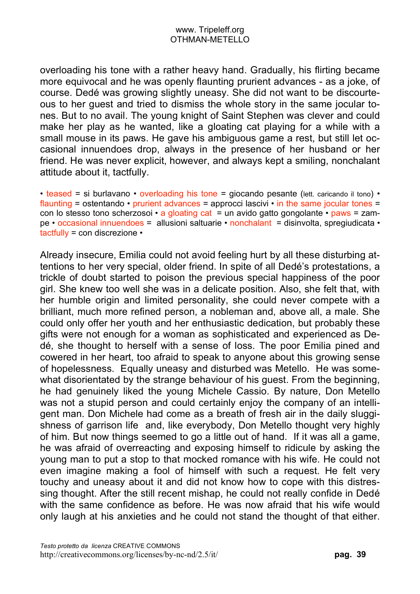overloading his tone with a rather heavy hand. Gradually, his flirting became more equivocal and he was openly flaunting prurient advances - as a joke, of course. Dedé was growing slightly uneasy. She did not want to be discourteous to her guest and tried to dismiss the whole story in the same jocular tones. But to no avail. The young knight of Saint Stephen was clever and could make her play as he wanted, like a gloating cat playing for a while with a small mouse in its paws. He gave his ambiguous game a rest, but still let occasional innuendoes drop, always in the presence of her husband or her friend. He was never explicit, however, and always kept a smiling, nonchalant attitude about it, tactfully.

• teased = si burlavano • overloading his tone = giocando pesante (lett. caricando il tono) • flaunting = ostentando  $\cdot$  prurient advances = approcci lascivi  $\cdot$  in the same jocular tones = con lo stesso tono scherzosoi  $\cdot$  a gloating cat = un avido gatto gongolante  $\cdot$  paws = zampe • occasional innuendoes = allusioni saltuarie • nonchalant = disinvolta, spregiudicata • tactfully = con discrezione •

Already insecure, Emilia could not avoid feeling hurt by all these disturbing attentions to her very special, older friend. In spite of all Dedé's protestations, a trickle of doubt started to poison the previous special happiness of the poor girl. She knew too well she was in a delicate position. Also, she felt that, with her humble origin and limited personality, she could never compete with a brilliant, much more refined person, a nobleman and, above all, a male. She could only offer her youth and her enthusiastic dedication, but probably these gifts were not enough for a woman as sophisticated and experienced as Dedé, she thought to herself with a sense of loss. The poor Emilia pined and cowered in her heart, too afraid to speak to anyone about this growing sense of hopelessness. Equally uneasy and disturbed was Metello. He was somewhat disorientated by the strange behaviour of his guest. From the beginning, he had genuinely liked the young Michele Cassio. By nature, Don Metello was not a stupid person and could certainly enjoy the company of an intelligent man. Don Michele had come as a breath of fresh air in the daily sluggishness of garrison life and, like everybody, Don Metello thought very highly of him. But now things seemed to go a little out of hand. If it was all a game, he was afraid of overreacting and exposing himself to ridicule by asking the young man to put a stop to that mocked romance with his wife. He could not even imagine making a fool of himself with such a request. He felt very touchy and uneasy about it and did not know how to cope with this distressing thought. After the still recent mishap, he could not really confide in Dedé with the same confidence as before. He was now afraid that his wife would only laugh at his anxieties and he could not stand the thought of that either.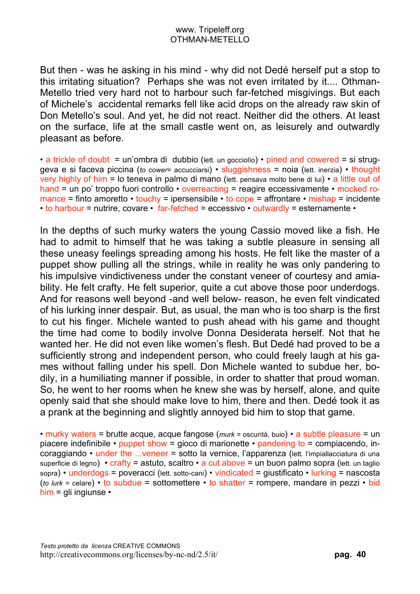But then - was he asking in his mind - why did not Dedé herself put a stop to this irritating situation? Perhaps she was not even irritated by it.... Othman-Metello tried very hard not to harbour such far-fetched misgivings. But each of Michele's accidental remarks fell like acid drops on the already raw skin of Don Metello's soul. And yet, he did not react. Neither did the others. At least on the surface, life at the small castle went on, as leisurely and outwardly pleasant as before.

• a trickle of doubt = un'ombra di dubbio (lett. un gocciolio) • pined and cowered = si struggeva e si faceva piccina (*to cower*= accucciarsi) • sluggishness = noia (lett. inerzia) • thought very highly of him = lo teneva in palmo di mano (lett. pensava molto bene di lui) • a little out of hand = un po' troppo fuori controllo • overreacting = reagire eccessivamente • mocked romance = finto amoretto • touchy = ipersensibile • to cope = affrontare • mishap = incidente  $\cdot$  to harbour = nutrire, covare  $\cdot$  far-fetched = eccessivo  $\cdot$  outwardly = esternamente  $\cdot$ 

In the depths of such murky waters the young Cassio moved like a fish. He had to admit to himself that he was taking a subtle pleasure in sensing all these uneasy feelings spreading among his hosts. He felt like the master of a puppet show pulling all the strings, while in reality he was only pandering to his impulsive vindictiveness under the constant veneer of courtesy and amiability. He felt crafty. He felt superior, quite a cut above those poor underdogs. And for reasons well beyond -and well below- reason, he even felt vindicated of his lurking inner despair. But, as usual, the man who is too sharp is the first to cut his finger. Michele wanted to push ahead with his game and thought the time had come to bodily involve Donna Desiderata herself. Not that he wanted her. He did not even like women's flesh. But Dedé had proved to be a sufficiently strong and independent person, who could freely laugh at his games without falling under his spell. Don Michele wanted to subdue her, bodily, in a humiliating manner if possible, in order to shatter that proud woman. So, he went to her rooms when he knew she was by herself, alone, and quite openly said that she should make love to him, there and then. Dedé took it as a prank at the beginning and slightly annoyed bid him to stop that game.

• murky waters = brutte acque, acque fangose (*murk* = oscurità, buio) • a subtle pleasure = un piacere indefinibile • puppet show = gioco di marionette • pandering to = compiacendo, incoraggiando • under the ...veneer = sotto la vernice, l'apparenza (lett. l'impiallacciatura di una superficie di legno) • crafty = astuto, scaltro • a cut above = un buon palmo sopra (lett. un taglio sopra) • underdogs = poveracci (lett. sotto-cani) • vindicated = giustificato • lurking = nascosta (*to lurk* = celare) • to subdue = sottomettere • to shatter = rompere, mandare in pezzi • bid him = gli ingiunse  $\cdot$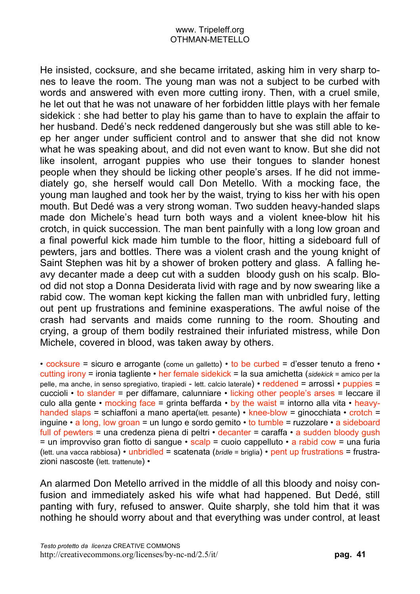He insisted, cocksure, and she became irritated, asking him in very sharp tones to leave the room. The young man was not a subject to be curbed with words and answered with even more cutting irony. Then, with a cruel smile, he let out that he was not unaware of her forbidden little plays with her female sidekick : she had better to play his game than to have to explain the affair to her husband. Dedé's neck reddened dangerously but she was still able to keep her anger under sufficient control and to answer that she did not know what he was speaking about, and did not even want to know. But she did not like insolent, arrogant puppies who use their tongues to slander honest people when they should be licking other people's arses. If he did not immediately go, she herself would call Don Metello. With a mocking face, the young man laughed and took her by the waist, trying to kiss her with his open mouth. But Dedé was a very strong woman. Two sudden heavy-handed slaps made don Michele's head turn both ways and a violent knee-blow hit his crotch, in quick succession. The man bent painfully with a long low groan and a final powerful kick made him tumble to the floor, hitting a sideboard full of pewters, jars and bottles. There was a violent crash and the young knight of Saint Stephen was hit by a shower of broken pottery and glass. A falling heavy decanter made a deep cut with a sudden bloody gush on his scalp. Blood did not stop a Donna Desiderata livid with rage and by now swearing like a rabid cow. The woman kept kicking the fallen man with unbridled fury, letting out pent up frustrations and feminine exasperations. The awful noise of the crash had servants and maids come running to the room. Shouting and crying, a group of them bodily restrained their infuriated mistress, while Don Michele, covered in blood, was taken away by others.

• cocksure = sicuro e arrogante (come un galletto) • to be curbed = d'esser tenuto a freno • cutting irony = ironia tagliente • her female sidekick = la sua amichetta (*sidekick* = amico per la pelle, ma anche, in senso spregiativo, tirapiedi - lett. calcio laterale) • reddened = arrossì • puppies = cuccioli • to slander = per diffamare, calunniare • licking other people's arses = leccare il culo alla gente • mocking face = grinta beffarda • by the waist = intorno alla vita • heavyhanded slaps = schiaffoni a mano aperta(lett. pesante) • knee-blow = qinocchiata • crotch = inguine • a long, low groan = un lungo e sordo gemito • to tumble = ruzzolare • a sideboard full of pewters = una credenza piena di peltri  $\cdot$  decanter = caraffa  $\cdot$  a sudden bloody gush  $=$  un improvviso gran fiotto di sangue  $\cdot$  scalp  $=$  cuoio cappelluto  $\cdot$  a rabid cow  $=$  una furia (lett. una vacca rabbiosa) • unbridled = scatenata (*bridle* = briglia) • pent up frustrations = frustrazioni nascoste (lett. trattenute) •

An alarmed Don Metello arrived in the middle of all this bloody and noisy confusion and immediately asked his wife what had happened. But Dedé, still panting with fury, refused to answer. Quite sharply, she told him that it was nothing he should worry about and that everything was under control, at least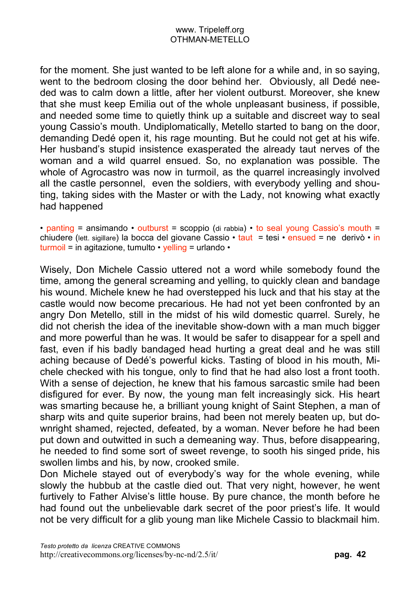for the moment. She just wanted to be left alone for a while and, in so saying, went to the bedroom closing the door behind her. Obviously, all Dedé needed was to calm down a little, after her violent outburst. Moreover, she knew that she must keep Emilia out of the whole unpleasant business, if possible, and needed some time to quietly think up a suitable and discreet way to seal young Cassio's mouth. Undiplomatically, Metello started to bang on the door, demanding Dedé open it, his rage mounting. But he could not get at his wife. Her husband's stupid insistence exasperated the already taut nerves of the woman and a wild quarrel ensued. So, no explanation was possible. The whole of Agrocastro was now in turmoil, as the quarrel increasingly involved all the castle personnel, even the soldiers, with everybody yelling and shouting, taking sides with the Master or with the Lady, not knowing what exactly had happened

• panting = ansimando • outburst = scoppio (di rabbia) • to seal young Cassio's mouth = chiudere (lett. sigillare) la bocca del giovane Cassio • taut = tesi • ensued = ne derivò • in turmoil = in agitazione, tumulto  $\cdot$  yelling = urlando  $\cdot$ 

Wisely, Don Michele Cassio uttered not a word while somebody found the time, among the general screaming and yelling, to quickly clean and bandage his wound. Michele knew he had overstepped his luck and that his stay at the castle would now become precarious. He had not yet been confronted by an angry Don Metello, still in the midst of his wild domestic quarrel. Surely, he did not cherish the idea of the inevitable show-down with a man much bigger and more powerful than he was. It would be safer to disappear for a spell and fast, even if his badly bandaged head hurting a great deal and he was still aching because of Dedé's powerful kicks. Tasting of blood in his mouth, Michele checked with his tongue, only to find that he had also lost a front tooth. With a sense of dejection, he knew that his famous sarcastic smile had been disfigured for ever. By now, the young man felt increasingly sick. His heart was smarting because he, a brilliant young knight of Saint Stephen, a man of sharp wits and quite superior brains, had been not merely beaten up, but downright shamed, rejected, defeated, by a woman. Never before he had been put down and outwitted in such a demeaning way. Thus, before disappearing, he needed to find some sort of sweet revenge, to sooth his singed pride, his swollen limbs and his, by now, crooked smile.

Don Michele stayed out of everybody's way for the whole evening, while slowly the hubbub at the castle died out. That very night, however, he went furtively to Father Alvise's little house. By pure chance, the month before he had found out the unbelievable dark secret of the poor priest's life. It would not be very difficult for a glib young man like Michele Cassio to blackmail him.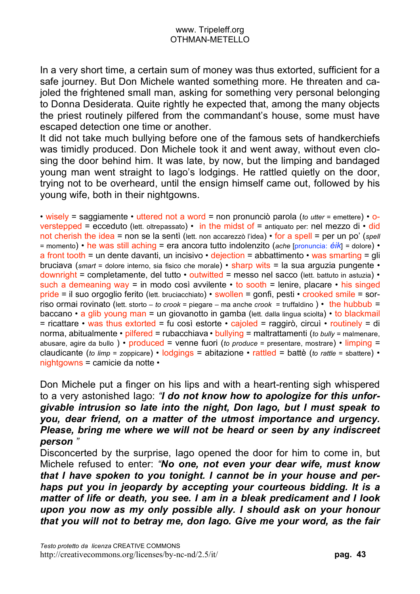In a very short time, a certain sum of money was thus extorted, sufficient for a safe journey. But Don Michele wanted something more. He threaten and cajoled the frightened small man, asking for something very personal belonging to Donna Desiderata. Quite rightly he expected that, among the many objects the priest routinely pilfered from the commandant's house, some must have escaped detection one time or another.

It did not take much bullying before one of the famous sets of handkerchiefs was timidly produced. Don Michele took it and went away, without even closing the door behind him. It was late, by now, but the limping and bandaged young man went straight to Iago's lodgings. He rattled quietly on the door, trying not to be overheard, until the ensign himself came out, followed by his young wife, both in their nightgowns.

• wisely = saggiamente • uttered not a word = non pronunciò parola (*to utter* = emettere) • overstepped = ecceduto (lett. oltrepassato) • in the midst of = antiquato per: nel mezzo di • did not cherish the idea = non se la sentì (lett. non accarezzò l'idea) • for a spell = per un po' (*spell* = momento) • he was still aching = era ancora tutto indolenzito (*ache* [pronuncia: *éik*] = dolore) • a front tooth = un dente davanti, un incisivo  $\cdot$  dejection = abbattimento  $\cdot$  was smarting = gli bruciava (*smart* = dolore interno, sia fisico che morale) • sharp wits = la sua arguzia pungente • downright = completamente, del tutto • outwitted = messo nel sacco (lett. battuto in astuzia) • such a demeaning way = in modo così avvilente  $\cdot$  to sooth = lenire, placare  $\cdot$  his singed pride = il suo orgoglio ferito (lett. bruciacchiato) • swollen = gonfi, pesti • crooked smile = sorriso ormai rovinato (lett. storto – *to crook* = piegare – ma anche *crook* = truffaldino ) • the hubbub = baccano • a glib young man = un giovanotto in gamba (lett. dalla lingua sciolta) • to blackmail  $=$  ricattare • was thus extorted = fu così estorte • cajoled = raggirò, circuì • routinely = di norma, abitualmente • pilfered = rubacchiava • bullying = maltrattamenti (*to bully* = malmenare, abusare, agire da bullo ) • produced = venne fuori (*to produce* = presentare, mostrare) • limping = claudicante (*to limp* = zoppicare) • lodgings = abitazione • rattled = battè (*to rattle* = sbattere) • nightgowns = camicie da notte •

Don Michele put a finger on his lips and with a heart-renting sigh whispered to a very astonished Iago: *"I do not know how to apologize for this unforgivable intrusion so late into the night, Don Iago, but I must speak to you, dear friend, on a matter of the utmost importance and urgency. Please, bring me where we will not be heard or seen by any indiscreet person "*

Disconcerted by the surprise, Iago opened the door for him to come in, but Michele refused to enter: *"No one, not even your dear wife, must know that I have spoken to you tonight. I cannot be in your house and perhaps put you in jeopardy by accepting your courteous bidding. It is a matter of life or death, you see. I am in a bleak predicament and I look upon you now as my only possible ally. I should ask on your honour that you will not to betray me, don Iago. Give me your word, as the fair*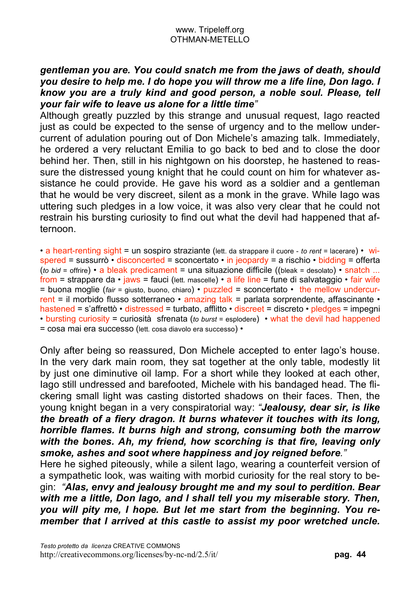# *gentleman you are. You could snatch me from the jaws of death, should you desire to help me. I do hope you will throw me a life line, Don Iago. I know you are a truly kind and good person, a noble soul. Please, tell your fair wife to leave us alone for a little time"*

Although greatly puzzled by this strange and unusual request, Iago reacted just as could be expected to the sense of urgency and to the mellow undercurrent of adulation pouring out of Don Michele's amazing talk. Immediately, he ordered a very reluctant Emilia to go back to bed and to close the door behind her. Then, still in his nightgown on his doorstep, he hastened to reassure the distressed young knight that he could count on him for whatever assistance he could provide. He gave his word as a soldier and a gentleman that he would be very discreet, silent as a monk in the grave. While Iago was uttering such pledges in a low voice, it was also very clear that he could not restrain his bursting curiosity to find out what the devil had happened that afternoon.

• a heart-renting sight = un sospiro straziante (lett. da strappare il cuore - *to rent* = lacerare) • wispered = sussurrò • disconcerted = sconcertato • in jeopardy = a rischio • bidding = offerta (*to bid* = offrire) • a bleak predicament = una situazione difficile ((bleak = desolato) • snatch ... from = strappare da  $\cdot$  jaws = fauci (lett. mascelle)  $\cdot$  a life line = fune di salvataggio  $\cdot$  fair wife = buona moglie (*fair* = giusto, buono, chiaro) • puzzled = sconcertato • the mellow undercurrent = il morbido flusso sotterraneo • amazing talk = parlata sorprendente, affascinante • hastened = s'affrettò • distressed = turbato, afflitto • discreet = discreto • pledges = impegni • bursting curiosity = curiosità sfrenata (*to burst* = esplodere) • what the devil had happened = cosa mai era successo (lett. cosa diavolo era successo) •

Only after being so reassured, Don Michele accepted to enter Iago's house. In the very dark main room, they sat together at the only table, modestly lit by just one diminutive oil lamp. For a short while they looked at each other, Iago still undressed and barefooted, Michele with his bandaged head. The flickering small light was casting distorted shadows on their faces. Then, the young knight began in a very conspiratorial way: *"Jealousy, dear sir, is like the breath of a fiery dragon. It burns whatever it touches with its long, horrible flames. It burns high and strong, consuming both the marrow with the bones. Ah, my friend, how scorching is that fire, leaving only smoke, ashes and soot where happiness and joy reigned before."*

Here he sighed piteously, while a silent Iago, wearing a counterfeit version of a sympathetic look, was waiting with morbid curiosity for the real story to begin: *"Alas, envy and jealousy brought me and my soul to perdition. Bear with me a little, Don Iago, and I shall tell you my miserable story. Then, you will pity me, I hope. But let me start from the beginning. You remember that I arrived at this castle to assist my poor wretched uncle.*